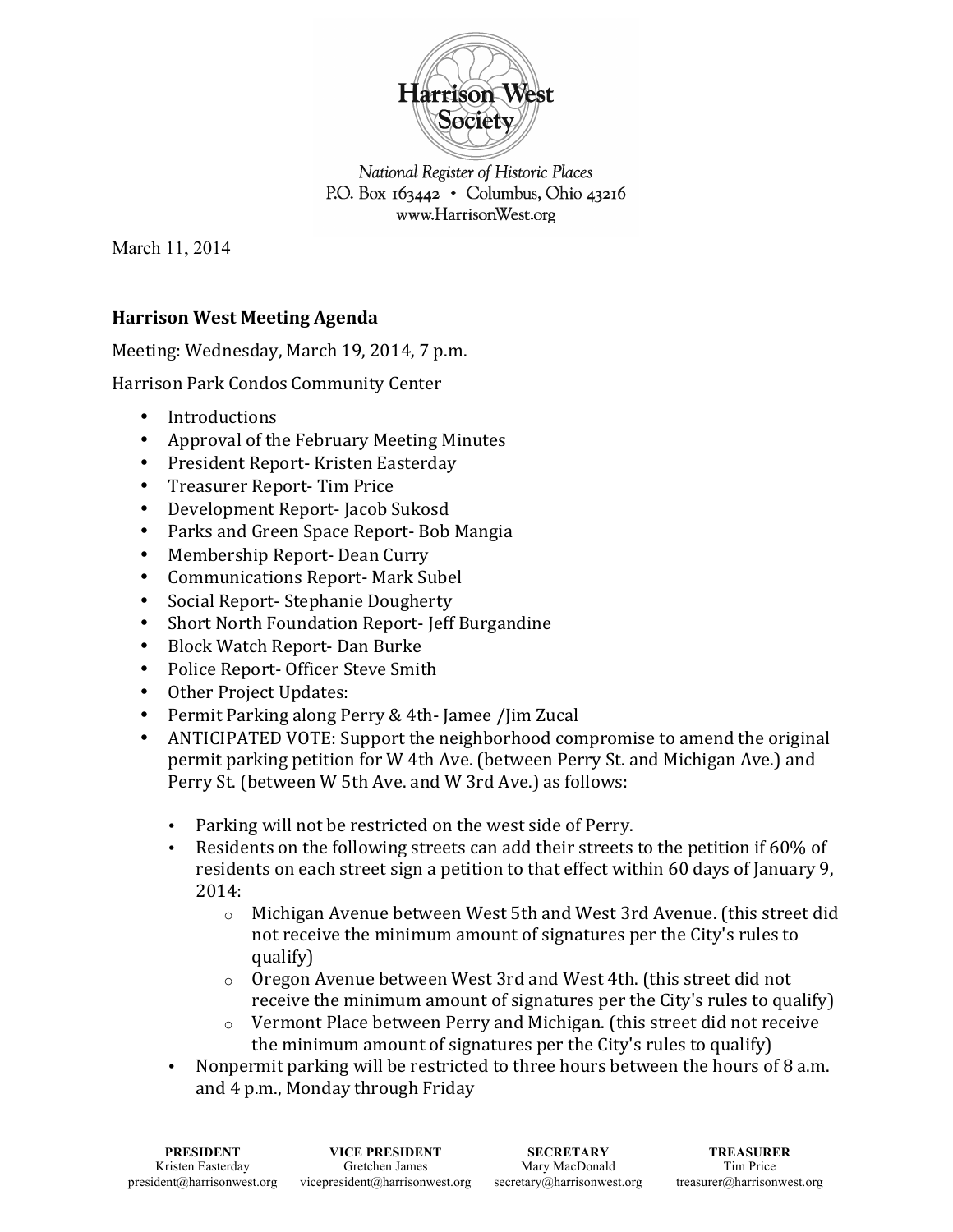

National Register of Historic Places P.O. Box  $163442 \cdot$  Columbus, Ohio 43216 www.HarrisonWest.org

March 11, 2014

## **Harrison West Meeting Agenda**

Meeting: Wednesday, March 19, 2014, 7 p.m.

Harrison Park Condos Community Center

- Introductions
- Approval of the February Meeting Minutes
- President Report-Kristen Easterday
- Treasurer Report-Tim Price
- Development Report-Jacob Sukosd
- Parks and Green Space Report-Bob Mangia
- Membership Report-Dean Curry
- Communications Report- Mark Subel
- Social Report-Stephanie Dougherty
- Short North Foundation Report-Jeff Burgandine
- Block Watch Report-Dan Burke
- Police Report- Officer Steve Smith
- Other Project Updates:
- Permit Parking along Perry & 4th-Jamee /Jim Zucal
- ANTICIPATED VOTE: Support the neighborhood compromise to amend the original permit parking petition for W 4th Ave. (between Perry St. and Michigan Ave.) and Perry St. (between W 5th Ave. and W 3rd Ave.) as follows:
	- Parking will not be restricted on the west side of Perry.
	- Residents on the following streets can add their streets to the petition if  $60\%$  of residents on each street sign a petition to that effect within 60 days of January 9,  $2014:$ 
		- $\circ$  Michigan Avenue between West 5th and West 3rd Avenue. (this street did not receive the minimum amount of signatures per the City's rules to qualify)
		- $\circ$  Oregon Avenue between West 3rd and West 4th. (this street did not) receive the minimum amount of signatures per the City's rules to qualify)
		- $\circ$  Vermont Place between Perry and Michigan. (this street did not receive the minimum amount of signatures per the City's rules to qualify)
	- Nonpermit parking will be restricted to three hours between the hours of 8 a.m. and 4 p.m., Monday through Friday